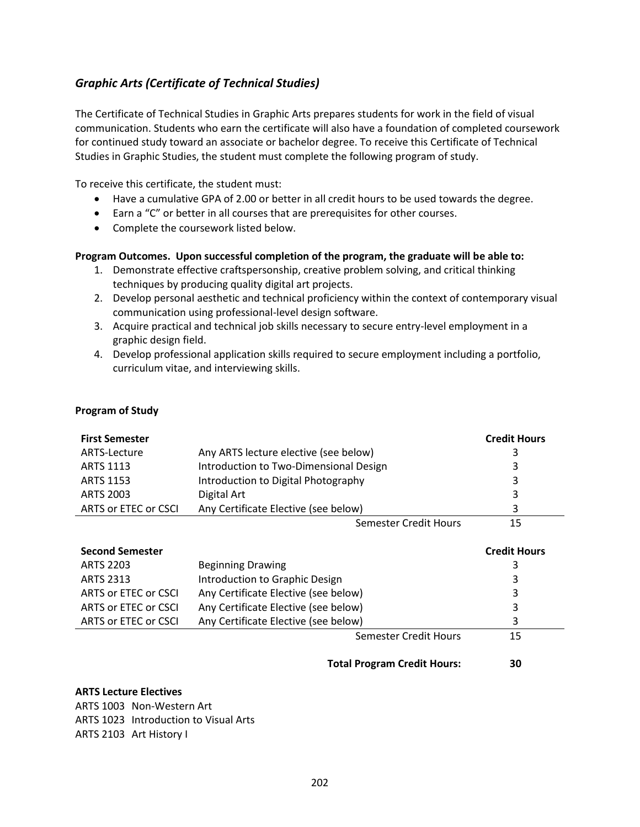# <span id="page-0-0"></span>*[Graphic Arts \(Certificate of Technical Studies\)](#page-0-0)*

The Certificate of Technical Studies in Graphic Arts prepares students for work in the field of visual communication. Students who earn the certificate will also have a foundation of completed coursework for continued study toward an associate or bachelor degree. To receive this Certificate of Technical Studies in Graphic Studies, the student must complete the following program of study.

To receive this certificate, the student must:

- Have a cumulative GPA of 2.00 or better in all credit hours to be used towards the degree.
- Earn a "C" or better in all courses that are prerequisites for other courses.
- Complete the coursework listed below.

### **Program Outcomes. Upon successful completion of the program, the graduate will be able to:**

- 1. Demonstrate effective craftspersonship, creative problem solving, and critical thinking techniques by producing quality digital art projects.
- 2. Develop personal aesthetic and technical proficiency within the context of contemporary visual communication using professional-level design software.
- 3. Acquire practical and technical job skills necessary to secure entry-level employment in a graphic design field.
- 4. Develop professional application skills required to secure employment including a portfolio, curriculum vitae, and interviewing skills.

| <b>First Semester</b>  |                                        | <b>Credit Hours</b> |
|------------------------|----------------------------------------|---------------------|
| ARTS-Lecture           | Any ARTS lecture elective (see below)  | 3                   |
| <b>ARTS 1113</b>       | Introduction to Two-Dimensional Design | 3                   |
| <b>ARTS 1153</b>       | Introduction to Digital Photography    | 3                   |
| <b>ARTS 2003</b>       | Digital Art                            | 3                   |
| ARTS or ETEC or CSCI   | Any Certificate Elective (see below)   | 3                   |
|                        | Semester Credit Hours                  | 15                  |
| <b>Second Semester</b> |                                        | <b>Credit Hours</b> |
| <b>ARTS 2203</b>       | <b>Beginning Drawing</b>               | 3                   |
| <b>ARTS 2313</b>       | Introduction to Graphic Design         | 3                   |
| ARTS or ETEC or CSCI   | Any Certificate Elective (see below)   | 3                   |
| ARTS or ETEC or CSCI   | Any Certificate Elective (see below)   | 3                   |

ARTS or ETEC or CSCI Any Certificate Elective (see below) 3

## **Total Program Credit Hours: 30**

Semester Credit Hours 15

#### **ARTS Lecture Electives**

**Program of Study**

ARTS 1003 Non-Western Art ARTS 1023 Introduction to Visual Arts ARTS 2103 Art History I